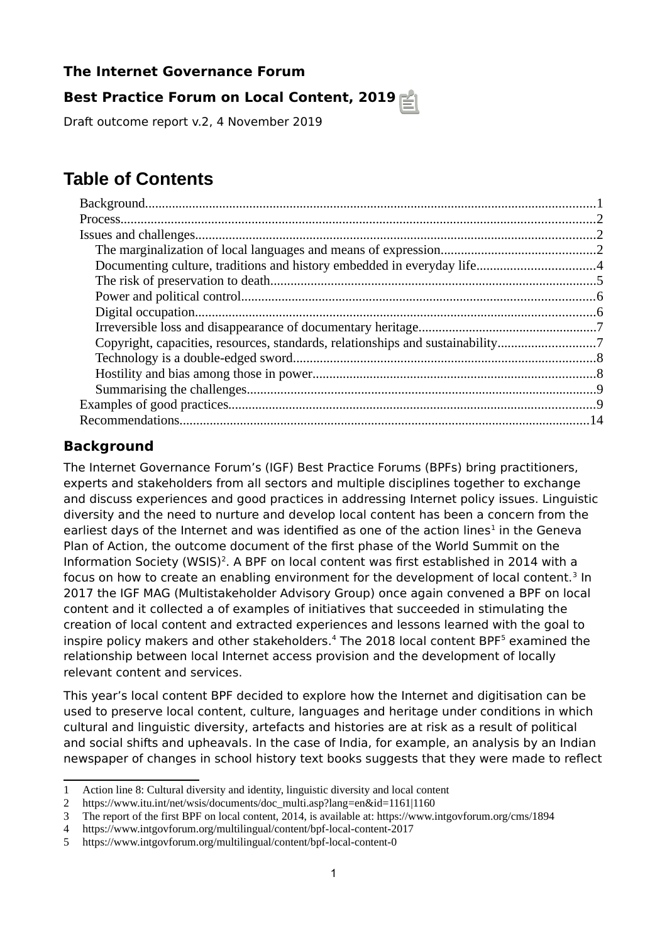# **The Internet Governance Forum**

# **Best Practice Forum on Local Content, 2019**

Draft outcome report v.2, 4 November 2019

# **Table of Contents**

| Copyright, capacities, resources, standards, relationships and sustainability7 |  |
|--------------------------------------------------------------------------------|--|
|                                                                                |  |
|                                                                                |  |
|                                                                                |  |
|                                                                                |  |
|                                                                                |  |
|                                                                                |  |

# <span id="page-0-1"></span><span id="page-0-0"></span>**Background**

The Internet Governance Forum's (IGF) Best Practice Forums (BPFs) bring practitioners, experts and stakeholders from all sectors and multiple disciplines together to exchange and discuss experiences and good practices in addressing Internet policy issues. Linguistic diversity and the need to nurture and develop local content has been a concern from the earliest days of the Internet and was identified as one of the action lines<sup>[1](#page-0-2)</sup> in the Geneva Plan of Action, the outcome document of the first phase of the World Summit on the Information Society (WSIS)<sup>[2](#page-0-3)</sup>. A BPF on local content was first established in 2014 with a focus on how to create an enabling environment for the development of local content.<sup>[3](#page-0-4)</sup> In 2017 the IGF MAG (Multistakeholder Advisory Group) once again convened a BPF on local content and it collected a of examples of initiatives that succeeded in stimulating the creation of local content and extracted experiences and lessons learned with the goal to inspire policy makers and other stakeholders.<sup>[4](#page-0-5)</sup> The 2018 local content BPF<sup>[5](#page-0-6)</sup> examined the relationship between local Internet access provision and the development of locally relevant content and services.

This year's local content BPF decided to explore how the Internet and digitisation can be used to preserve local content, culture, languages and heritage under conditions in which cultural and linguistic diversity, artefacts and histories are at risk as a result of political and social shifts and upheavals. In the case of India, for example, an analysis by an Indian newspaper of changes in school history text books suggests that they were made to reflect

<span id="page-0-2"></span><sup>1</sup> Action line 8: Cultural diversity and identity, linguistic diversity and local content

<span id="page-0-3"></span><sup>2</sup> https://www.itu.int/net/wsis/documents/doc\_multi.asp?lang=en&id=1161|1160

<span id="page-0-4"></span><sup>3</sup> The report of the first BPF on local content, 2014, is available at: https://www.intgovforum.org/cms/1894

<span id="page-0-5"></span><sup>4</sup> https://www.intgovforum.org/multilingual/content/bpf-local-content-2017

<span id="page-0-6"></span><sup>5</sup> https://www.intgovforum.org/multilingual/content/bpf-local-content-0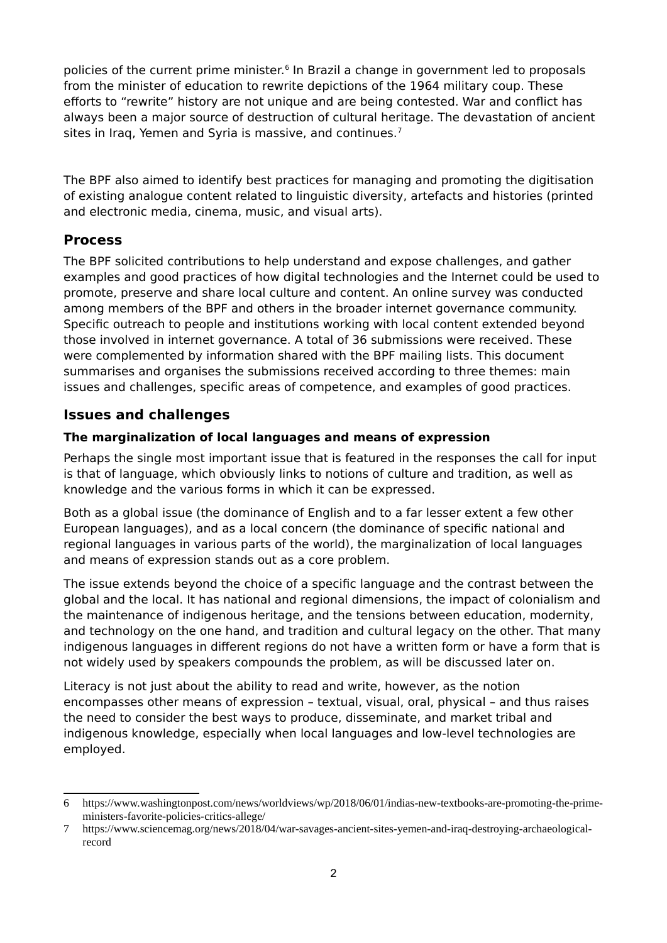policies of the current prime minister.<sup>[6](#page-1-3)</sup> In Brazil a change in government led to proposals from the minister of education to rewrite depictions of the 1964 military coup. These efforts to "rewrite" history are not unique and are being contested. War and conflict has always been a major source of destruction of cultural heritage. The devastation of ancient sites in Iraq, Yemen and Syria is massive, and continues.<sup>[7](#page-1-4)</sup>

The BPF also aimed to identify best practices for managing and promoting the digitisation of existing analogue content related to linguistic diversity, artefacts and histories (printed and electronic media, cinema, music, and visual arts).

## <span id="page-1-2"></span>**Process**

The BPF solicited contributions to help understand and expose challenges, and gather examples and good practices of how digital technologies and the Internet could be used to promote, preserve and share local culture and content. An online survey was conducted among members of the BPF and others in the broader internet governance community. Specific outreach to people and institutions working with local content extended beyond those involved in internet governance. A total of 36 submissions were received. These were complemented by information shared with the BPF mailing lists. This document summarises and organises the submissions received according to three themes: main issues and challenges, specific areas of competence, and examples of good practices.

# <span id="page-1-1"></span>**Issues and challenges**

## <span id="page-1-0"></span>**The marginalization of local languages and means of expression**

Perhaps the single most important issue that is featured in the responses the call for input is that of language, which obviously links to notions of culture and tradition, as well as knowledge and the various forms in which it can be expressed.

Both as a global issue (the dominance of English and to a far lesser extent a few other European languages), and as a local concern (the dominance of specific national and regional languages in various parts of the world), the marginalization of local languages and means of expression stands out as a core problem.

The issue extends beyond the choice of a specific language and the contrast between the global and the local. It has national and regional dimensions, the impact of colonialism and the maintenance of indigenous heritage, and the tensions between education, modernity, and technology on the one hand, and tradition and cultural legacy on the other. That many indigenous languages in different regions do not have a written form or have a form that is not widely used by speakers compounds the problem, as will be discussed later on.

Literacy is not just about the ability to read and write, however, as the notion encompasses other means of expression – textual, visual, oral, physical – and thus raises the need to consider the best ways to produce, disseminate, and market tribal and indigenous knowledge, especially when local languages and low-level technologies are employed.

<span id="page-1-3"></span><sup>6</sup> https://www.washingtonpost.com/news/worldviews/wp/2018/06/01/indias-new-textbooks-are-promoting-the-primeministers-favorite-policies-critics-allege/

<span id="page-1-4"></span><sup>7</sup> https://www.sciencemag.org/news/2018/04/war-savages-ancient-sites-yemen-and-iraq-destroying-archaeologicalrecord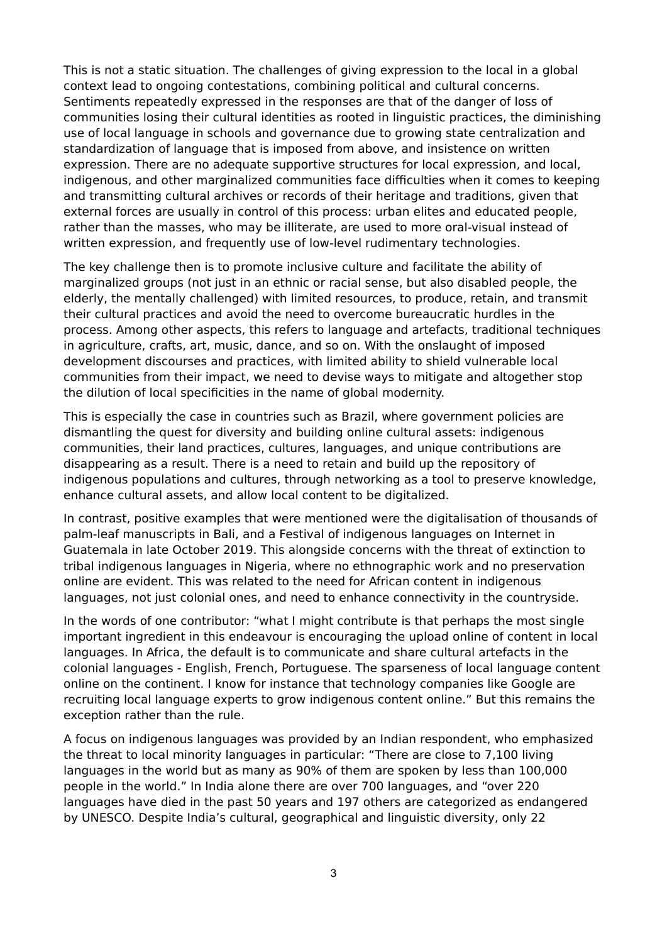This is not a static situation. The challenges of giving expression to the local in a global context lead to ongoing contestations, combining political and cultural concerns. Sentiments repeatedly expressed in the responses are that of the danger of loss of communities losing their cultural identities as rooted in linguistic practices, the diminishing use of local language in schools and governance due to growing state centralization and standardization of language that is imposed from above, and insistence on written expression. There are no adequate supportive structures for local expression, and local, indigenous, and other marginalized communities face difficulties when it comes to keeping and transmitting cultural archives or records of their heritage and traditions, given that external forces are usually in control of this process: urban elites and educated people, rather than the masses, who may be illiterate, are used to more oral-visual instead of written expression, and frequently use of low-level rudimentary technologies.

The key challenge then is to promote inclusive culture and facilitate the ability of marginalized groups (not just in an ethnic or racial sense, but also disabled people, the elderly, the mentally challenged) with limited resources, to produce, retain, and transmit their cultural practices and avoid the need to overcome bureaucratic hurdles in the process. Among other aspects, this refers to language and artefacts, traditional techniques in agriculture, crafts, art, music, dance, and so on. With the onslaught of imposed development discourses and practices, with limited ability to shield vulnerable local communities from their impact, we need to devise ways to mitigate and altogether stop the dilution of local specificities in the name of global modernity.

This is especially the case in countries such as Brazil, where government policies are dismantling the quest for diversity and building online cultural assets: indigenous communities, their land practices, cultures, languages, and unique contributions are disappearing as a result. There is a need to retain and build up the repository of indigenous populations and cultures, through networking as a tool to preserve knowledge, enhance cultural assets, and allow local content to be digitalized.

In contrast, positive examples that were mentioned were the digitalisation of thousands of palm-leaf manuscripts in Bali, and a Festival of indigenous languages on Internet in Guatemala in late October 2019. This alongside concerns with the threat of extinction to tribal indigenous languages in Nigeria, where no ethnographic work and no preservation online are evident. This was related to the need for African content in indigenous languages, not just colonial ones, and need to enhance connectivity in the countryside.

In the words of one contributor: "what I might contribute is that perhaps the most single important ingredient in this endeavour is encouraging the upload online of content in local languages. In Africa, the default is to communicate and share cultural artefacts in the colonial languages - English, French, Portuguese. The sparseness of local language content online on the continent. I know for instance that technology companies like Google are recruiting local language experts to grow indigenous content online." But this remains the exception rather than the rule.

A focus on indigenous languages was provided by an Indian respondent, who emphasized the threat to local minority languages in particular: "There are close to 7,100 living languages in the world but as many as 90% of them are spoken by less than 100,000 people in the world." In India alone there are over 700 languages, and "over 220 languages have died in the past 50 years and 197 others are categorized as endangered by UNESCO. Despite India's cultural, geographical and linguistic diversity, only 22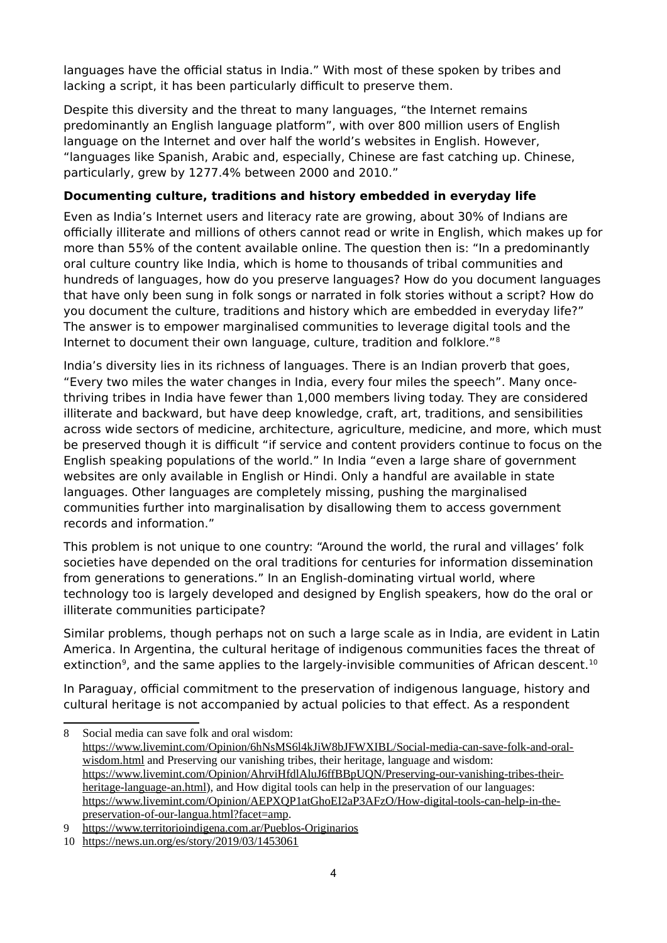languages have the official status in India." With most of these spoken by tribes and lacking a script, it has been particularly difficult to preserve them.

Despite this diversity and the threat to many languages, "the Internet remains predominantly an English language platform", with over 800 million users of English language on the Internet and over half the world's websites in English. However, "languages like Spanish, Arabic and, especially, Chinese are fast catching up. Chinese, particularly, grew by 1277.4% between 2000 and 2010."

#### <span id="page-3-0"></span>**Documenting culture, traditions and history embedded in everyday life**

Even as India's Internet users and literacy rate are growing, about 30% of Indians are officially illiterate and millions of others cannot read or write in English, which makes up for more than 55% of the content available online. The question then is: "In a predominantly oral culture country like India, which is home to thousands of tribal communities and hundreds of languages, how do you preserve languages? How do you document languages that have only been sung in folk songs or narrated in folk stories without a script? How do you document the culture, traditions and history which are embedded in everyday life?" The answer is to empower marginalised communities to leverage digital tools and the Internet to document their own language, culture, tradition and folklore."[8](#page-3-1)

India's diversity lies in its richness of languages. There is an Indian proverb that goes, "Every two miles the water changes in India, every four miles the speech". Many oncethriving tribes in India have fewer than 1,000 members living today. They are considered illiterate and backward, but have deep knowledge, craft, art, traditions, and sensibilities across wide sectors of medicine, architecture, agriculture, medicine, and more, which must be preserved though it is difficult "if service and content providers continue to focus on the English speaking populations of the world." In India "even a large share of government websites are only available in English or Hindi. Only a handful are available in state languages. Other languages are completely missing, pushing the marginalised communities further into marginalisation by disallowing them to access government records and information."

This problem is not unique to one country: "Around the world, the rural and villages' folk societies have depended on the oral traditions for centuries for information dissemination from generations to generations." In an English-dominating virtual world, where technology too is largely developed and designed by English speakers, how do the oral or illiterate communities participate?

Similar problems, though perhaps not on such a large scale as in India, are evident in Latin America. In Argentina, the cultural heritage of indigenous communities faces the threat of extinction<sup>[9](#page-3-2)</sup>, and the same applies to the largely-invisible communities of African descent.<sup>[10](#page-3-3)</sup>

In Paraguay, official commitment to the preservation of indigenous language, history and cultural heritage is not accompanied by actual policies to that effect. As a respondent

<span id="page-3-1"></span><sup>8</sup> Social media can save folk and oral wisdom: [https://www.livemint.com/Opinion/6hNsMS6l4kJiW8bJFWXIBL/Social-media-can-save-folk-and-oral](https://www.livemint.com/Opinion/6hNsMS6l4kJiW8bJFWXIBL/Social-media-can-save-folk-and-oral-wisdom.html)[wisdom.html](https://www.livemint.com/Opinion/6hNsMS6l4kJiW8bJFWXIBL/Social-media-can-save-folk-and-oral-wisdom.html) and Preserving our vanishing tribes, their heritage, language and wisdom: [https://www.livemint.com/Opinion/AhrviHfdlAluJ6ffBBpUQN/Preserving-our-vanishing-tribes-their](https://www.livemint.com/Opinion/AhrviHfdlAluJ6ffBBpUQN/Preserving-our-vanishing-tribes-their-heritage-language-an.html)[heritage-language-an.html\)](https://www.livemint.com/Opinion/AhrviHfdlAluJ6ffBBpUQN/Preserving-our-vanishing-tribes-their-heritage-language-an.html), and How digital tools can help in the preservation of our languages: [https://www.livemint.com/Opinion/AEPXQP1atGhoEI2aP3AFzO/How-digital-tools-can-help-in-the](https://www.livemint.com/Opinion/AEPXQP1atGhoEI2aP3AFzO/How-digital-tools-can-help-in-the-preservation-of-our-langua.html?facet=amp)[preservation-of-our-langua.html?facet=amp.](https://www.livemint.com/Opinion/AEPXQP1atGhoEI2aP3AFzO/How-digital-tools-can-help-in-the-preservation-of-our-langua.html?facet=amp)

<span id="page-3-2"></span><sup>9</sup><https://www.territorioindigena.com.ar/Pueblos-Originarios>

<span id="page-3-3"></span><sup>10</sup> <https://news.un.org/es/story/2019/03/1453061>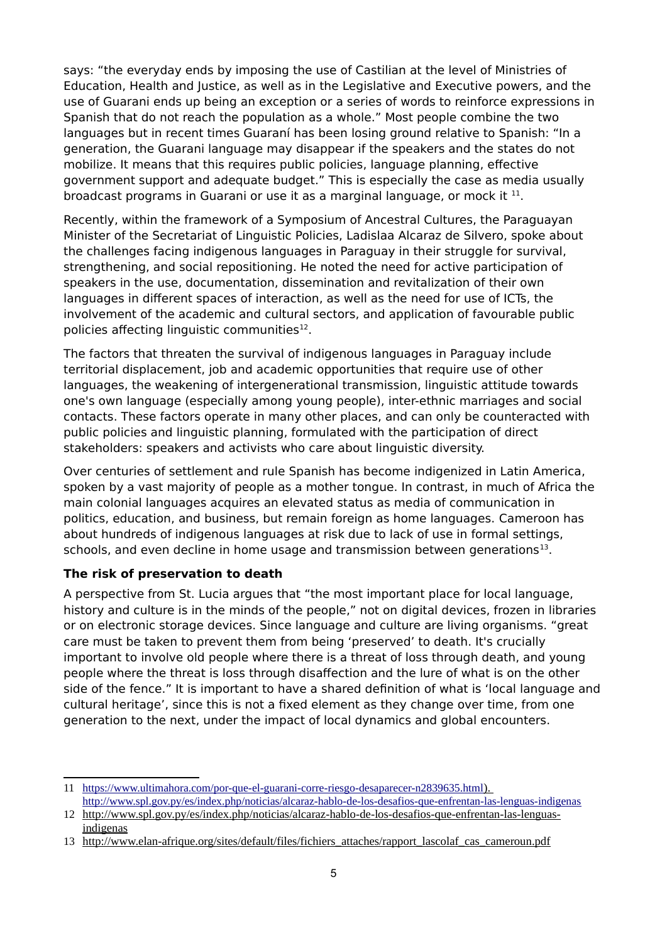says: "the everyday ends by imposing the use of Castilian at the level of Ministries of Education, Health and Justice, as well as in the Legislative and Executive powers, and the use of Guarani ends up being an exception or a series of words to reinforce expressions in Spanish that do not reach the population as a whole." Most people combine the two languages but in recent times Guaraní has been losing ground relative to Spanish: "In a generation, the Guarani language may disappear if the speakers and the states do not mobilize. It means that this requires public policies, language planning, effective government support and adequate budget." This is especially the case as media usually broadcast programs in Guarani or use it as a marginal language, or mock it  $^{11}$  $^{11}$  $^{11}$ .

Recently, within the framework of a Symposium of Ancestral Cultures, the Paraguayan Minister of the Secretariat of Linguistic Policies, Ladislaa Alcaraz de Silvero, spoke about the challenges facing indigenous languages in Paraguay in their struggle for survival, strengthening, and social repositioning. He noted the need for active participation of speakers in the use, documentation, dissemination and revitalization of their own languages in different spaces of interaction, as well as the need for use of ICTs, the involvement of the academic and cultural sectors, and application of favourable public policies affecting linguistic communities $^{12}$  $^{12}$  $^{12}$ .

The factors that threaten the survival of indigenous languages in Paraguay include territorial displacement, job and academic opportunities that require use of other languages, the weakening of intergenerational transmission, linguistic attitude towards one's own language (especially among young people), inter-ethnic marriages and social contacts. These factors operate in many other places, and can only be counteracted with public policies and linguistic planning, formulated with the participation of direct stakeholders: speakers and activists who care about linguistic diversity.

Over centuries of settlement and rule Spanish has become indigenized in Latin America, spoken by a vast majority of people as a mother tongue. In contrast, in much of Africa the main colonial languages acquires an elevated status as media of communication in politics, education, and business, but remain foreign as home languages. Cameroon has about hundreds of indigenous languages at risk due to lack of use in formal settings, schools, and even decline in home usage and transmission between generations $^{13}$  $^{13}$  $^{13}$ .

#### <span id="page-4-0"></span>**The risk of preservation to death**

A perspective from St. Lucia argues that "the most important place for local language, history and culture is in the minds of the people," not on digital devices, frozen in libraries or on electronic storage devices. Since language and culture are living organisms. "great care must be taken to prevent them from being 'preserved' to death. It's crucially important to involve old people where there is a threat of loss through death, and young people where the threat is loss through disaffection and the lure of what is on the other side of the fence." It is important to have a shared definition of what is 'local language and cultural heritage', since this is not a fixed element as they change over time, from one generation to the next, under the impact of local dynamics and global encounters.

<span id="page-4-1"></span><sup>11</sup><https://www.ultimahora.com/por-que-el-guarani-corre-riesgo-desaparecer-n2839635.html>). <http://www.spl.gov.py/es/index.php/noticias/alcaraz-hablo-de-los-desafios-que-enfrentan-las-lenguas-indigenas>

<span id="page-4-2"></span><sup>12</sup> [http://www.spl.gov.py/es/index.php/noticias/alcaraz-hablo-de-los-desafios-que-enfrentan-las-lenguas](http://www.spl.gov.py/es/index.php/noticias/alcaraz-hablo-de-los-desafios-que-enfrentan-las-lenguas-indigenas)[indigenas](http://www.spl.gov.py/es/index.php/noticias/alcaraz-hablo-de-los-desafios-que-enfrentan-las-lenguas-indigenas)

<span id="page-4-3"></span><sup>13</sup> [http://www.elan-afrique.org/sites/default/files/fichiers\\_attaches/rapport\\_lascolaf\\_cas\\_cameroun.pdf](http://www.elan-afrique.org/sites/default/files/fichiers_attaches/rapport_lascolaf_cas_cameroun.pdf)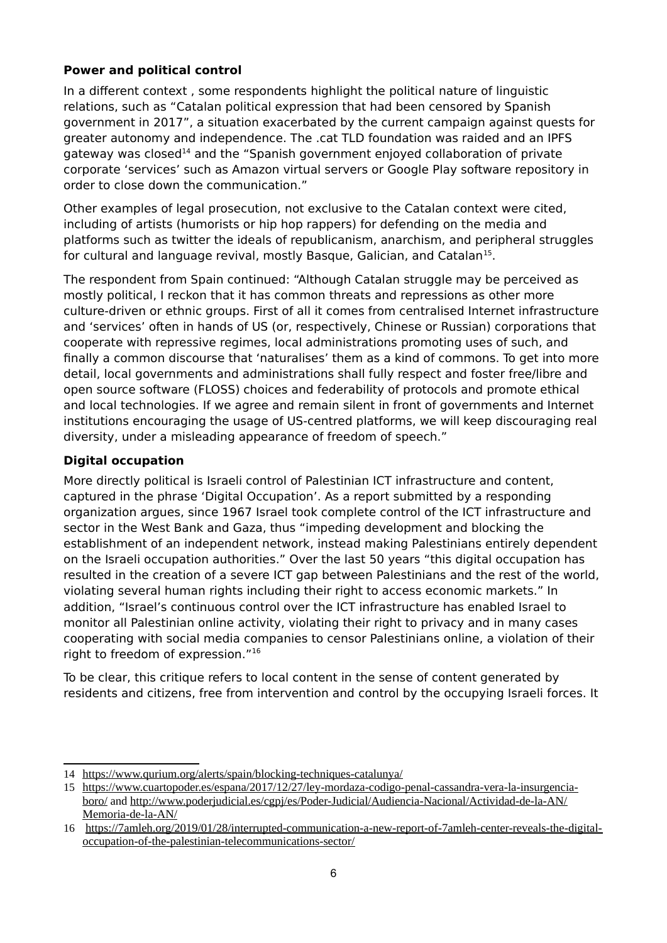#### <span id="page-5-1"></span>**Power and political control**

In a different context , some respondents highlight the political nature of linguistic relations, such as "Catalan political expression that had been censored by Spanish government in 2017", a situation exacerbated by the current campaign against quests for greater autonomy and independence. The .cat TLD foundation was raided and an IPFS gateway was closed<sup>[14](#page-5-2)</sup> and the "Spanish government enjoyed collaboration of private corporate 'services' such as Amazon virtual servers or Google Play software repository in order to close down the communication."

Other examples of legal prosecution, not exclusive to the Catalan context were cited, including of artists (humorists or hip hop rappers) for defending on the media and platforms such as twitter the ideals of republicanism, anarchism, and peripheral struggles for cultural and language revival, mostly Basque, Galician, and Catalan<sup>[15](#page-5-3)</sup>.

The respondent from Spain continued: "Although Catalan struggle may be perceived as mostly political, I reckon that it has common threats and repressions as other more culture-driven or ethnic groups. First of all it comes from centralised Internet infrastructure and 'services' often in hands of US (or, respectively, Chinese or Russian) corporations that cooperate with repressive regimes, local administrations promoting uses of such, and finally a common discourse that 'naturalises' them as a kind of commons. To get into more detail, local governments and administrations shall fully respect and foster free/libre and open source software (FLOSS) choices and federability of protocols and promote ethical and local technologies. If we agree and remain silent in front of governments and Internet institutions encouraging the usage of US-centred platforms, we will keep discouraging real diversity, under a misleading appearance of freedom of speech."

#### <span id="page-5-0"></span>**Digital occupation**

More directly political is Israeli control of Palestinian ICT infrastructure and content, captured in the phrase 'Digital Occupation'. As a report submitted by a responding organization argues, since 1967 Israel took complete control of the ICT infrastructure and sector in the West Bank and Gaza, thus "impeding development and blocking the establishment of an independent network, instead making Palestinians entirely dependent on the Israeli occupation authorities." Over the last 50 years "this digital occupation has resulted in the creation of a severe ICT gap between Palestinians and the rest of the world, violating several human rights including their right to access economic markets." In addition, "Israel's continuous control over the ICT infrastructure has enabled Israel to monitor all Palestinian online activity, violating their right to privacy and in many cases cooperating with social media companies to censor Palestinians online, a violation of their right to freedom of expression."[16](#page-5-4)

To be clear, this critique refers to local content in the sense of content generated by residents and citizens, free from intervention and control by the occupying Israeli forces. It

<span id="page-5-2"></span><sup>14</sup><https://www.qurium.org/alerts/spain/blocking-techniques-catalunya/>

<span id="page-5-3"></span><sup>15</sup> [https://www.cuartopoder.es/espana/2017/12/27/ley-mordaza-codigo-penal-cassandra-vera-la-insurgencia](https://www.cuartopoder.es/espana/2017/12/27/ley-mordaza-codigo-penal-cassandra-vera-la-insurgencia-boro/)[boro/](https://www.cuartopoder.es/espana/2017/12/27/ley-mordaza-codigo-penal-cassandra-vera-la-insurgencia-boro/) and [http://www.poderjudicial.es/cgpj/es/Poder-Judicial/Audiencia-Nacional/Actividad-de-la-AN/](http://www.poderjudicial.es/cgpj/es/Poder-Judicial/Audiencia-Nacional/Actividad-de-la-AN/Memoria-de-la-AN/) [Memoria-de-la-AN/](http://www.poderjudicial.es/cgpj/es/Poder-Judicial/Audiencia-Nacional/Actividad-de-la-AN/Memoria-de-la-AN/)

<span id="page-5-4"></span><sup>16</sup> [https://7amleh.org/2019/01/28/interrupted-communication-a-new-report-of-7amleh-center-reveals-the-digital](https://7amleh.org/2019/01/28/interrupted-communication-a-new-report-of-7amleh-center-reveals-the-digital-occupation-of-the-palestinian-telecommunications-sector/)[occupation-of-the-palestinian-telecommunications-sector/](https://7amleh.org/2019/01/28/interrupted-communication-a-new-report-of-7amleh-center-reveals-the-digital-occupation-of-the-palestinian-telecommunications-sector/)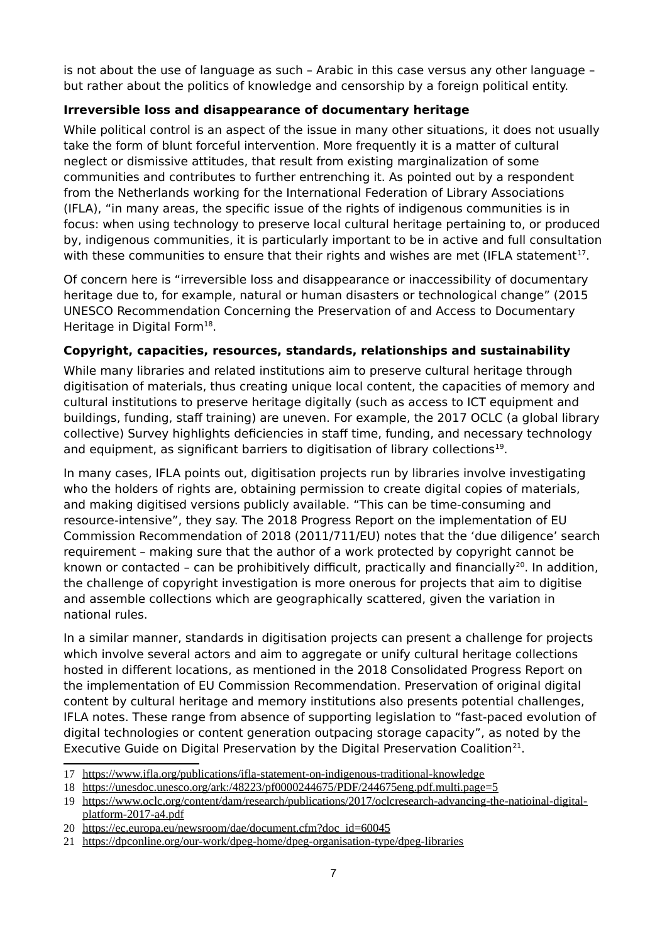is not about the use of language as such – Arabic in this case versus any other language – but rather about the politics of knowledge and censorship by a foreign political entity.

#### <span id="page-6-1"></span>**Irreversible loss and disappearance of documentary heritage**

While political control is an aspect of the issue in many other situations, it does not usually take the form of blunt forceful intervention. More frequently it is a matter of cultural neglect or dismissive attitudes, that result from existing marginalization of some communities and contributes to further entrenching it. As pointed out by a respondent from the Netherlands working for the International Federation of Library Associations (IFLA), "in many areas, the specific issue of the rights of indigenous communities is in focus: when using technology to preserve local cultural heritage pertaining to, or produced by, indigenous communities, it is particularly important to be in active and full consultation with these communities to ensure that their rights and wishes are met (IFLA statement<sup>[17](#page-6-2)</sup>.

Of concern here is "irreversible loss and disappearance or inaccessibility of documentary heritage due to, for example, natural or human disasters or technological change" (2015 UNESCO Recommendation Concerning the Preservation of and Access to Documentary Heritage in Digital Form<sup>[18](#page-6-3)</sup>.

#### <span id="page-6-0"></span>**Copyright, capacities, resources, standards, relationships and sustainability**

While many libraries and related institutions aim to preserve cultural heritage through digitisation of materials, thus creating unique local content, the capacities of memory and cultural institutions to preserve heritage digitally (such as access to ICT equipment and buildings, funding, staff training) are uneven. For example, the 2017 OCLC (a global library collective) Survey highlights deficiencies in staff time, funding, and necessary technology and equipment, as significant barriers to digitisation of library collections $^{19}$  $^{19}$  $^{19}$ .

In many cases, IFLA points out, digitisation projects run by libraries involve investigating who the holders of rights are, obtaining permission to create digital copies of materials, and making digitised versions publicly available. "This can be time-consuming and resource-intensive", they say. The 2018 Progress Report on the implementation of EU Commission Recommendation of 2018 (2011/711/EU) notes that the 'due diligence' search requirement – making sure that the author of a work protected by copyright cannot be known or contacted - can be prohibitively difficult, practically and financially<sup>[20](#page-6-5)</sup>. In addition, the challenge of copyright investigation is more onerous for projects that aim to digitise and assemble collections which are geographically scattered, given the variation in national rules.

In a similar manner, standards in digitisation projects can present a challenge for projects which involve several actors and aim to aggregate or unify cultural heritage collections hosted in different locations, as mentioned in the 2018 Consolidated Progress Report on the implementation of EU Commission Recommendation. Preservation of original digital content by cultural heritage and memory institutions also presents potential challenges, IFLA notes. These range from absence of supporting legislation to "fast-paced evolution of digital technologies or content generation outpacing storage capacity", as noted by the Executive Guide on Digital Preservation by the Digital Preservation Coalition<sup>[21](#page-6-6)</sup>.

<span id="page-6-2"></span><sup>17</sup><https://www.ifla.org/publications/ifla-statement-on-indigenous-traditional-knowledge>

<span id="page-6-3"></span><sup>18</sup> <https://unesdoc.unesco.org/ark:/48223/pf0000244675/PDF/244675eng.pdf.multi.page=5>

<span id="page-6-4"></span><sup>19</sup> [https://www.oclc.org/content/dam/research/publications/2017/oclcresearch-advancing-the-natioinal-digital](https://www.oclc.org/content/dam/research/publications/2017/oclcresearch-advancing-the-natioinal-digital-platform-2017-a4.pdf)[platform-2017-a4.pdf](https://www.oclc.org/content/dam/research/publications/2017/oclcresearch-advancing-the-natioinal-digital-platform-2017-a4.pdf)

<span id="page-6-5"></span><sup>20</sup> [https://ec.europa.eu/newsroom/dae/document.cfm?doc\\_id=60045](https://ec.europa.eu/newsroom/dae/document.cfm?doc_id=60045)

<span id="page-6-6"></span><sup>21</sup> <https://dpconline.org/our-work/dpeg-home/dpeg-organisation-type/dpeg-libraries>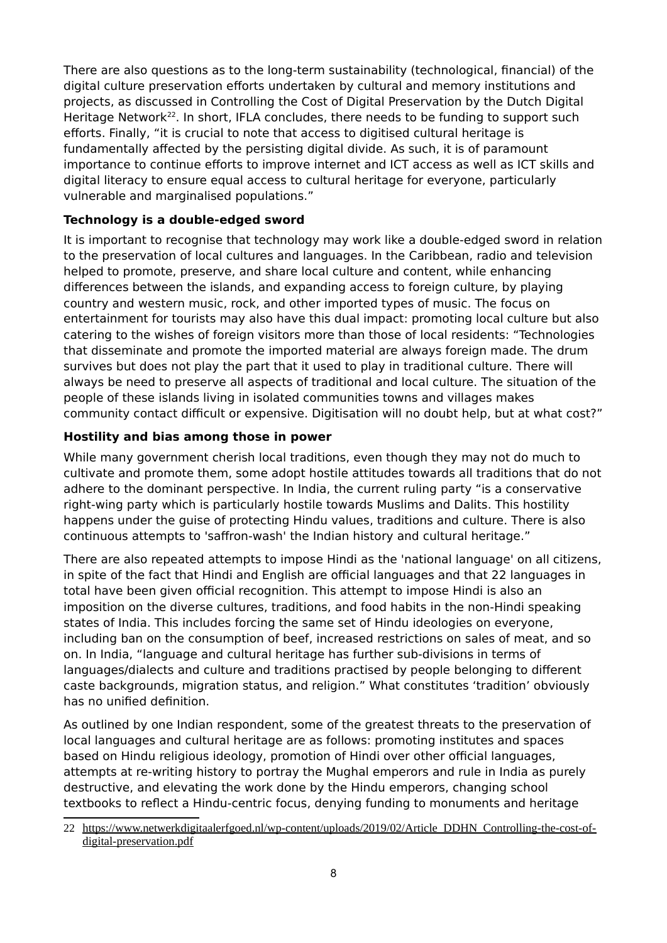There are also questions as to the long-term sustainability (technological, financial) of the digital culture preservation efforts undertaken by cultural and memory institutions and projects, as discussed in Controlling the Cost of Digital Preservation by the Dutch Digital Heritage Network<sup>[22](#page-7-2)</sup>. In short, IFLA concludes, there needs to be funding to support such efforts. Finally, "it is crucial to note that access to digitised cultural heritage is fundamentally affected by the persisting digital divide. As such, it is of paramount importance to continue efforts to improve internet and ICT access as well as ICT skills and digital literacy to ensure equal access to cultural heritage for everyone, particularly vulnerable and marginalised populations."

#### <span id="page-7-1"></span>**Technology is a double-edged sword**

It is important to recognise that technology may work like a double-edged sword in relation to the preservation of local cultures and languages. In the Caribbean, radio and television helped to promote, preserve, and share local culture and content, while enhancing differences between the islands, and expanding access to foreign culture, by playing country and western music, rock, and other imported types of music. The focus on entertainment for tourists may also have this dual impact: promoting local culture but also catering to the wishes of foreign visitors more than those of local residents: "Technologies that disseminate and promote the imported material are always foreign made. The drum survives but does not play the part that it used to play in traditional culture. There will always be need to preserve all aspects of traditional and local culture. The situation of the people of these islands living in isolated communities towns and villages makes community contact difficult or expensive. Digitisation will no doubt help, but at what cost?"

#### <span id="page-7-0"></span>**Hostility and bias among those in power**

While many government cherish local traditions, even though they may not do much to cultivate and promote them, some adopt hostile attitudes towards all traditions that do not adhere to the dominant perspective. In India, the current ruling party "is a conservative right-wing party which is particularly hostile towards Muslims and Dalits. This hostility happens under the guise of protecting Hindu values, traditions and culture. There is also continuous attempts to 'saffron-wash' the Indian history and cultural heritage."

There are also repeated attempts to impose Hindi as the 'national language' on all citizens, in spite of the fact that Hindi and English are official languages and that 22 languages in total have been given official recognition. This attempt to impose Hindi is also an imposition on the diverse cultures, traditions, and food habits in the non-Hindi speaking states of India. This includes forcing the same set of Hindu ideologies on everyone, including ban on the consumption of beef, increased restrictions on sales of meat, and so on. In India, "language and cultural heritage has further sub-divisions in terms of languages/dialects and culture and traditions practised by people belonging to different caste backgrounds, migration status, and religion." What constitutes 'tradition' obviously has no unified definition.

As outlined by one Indian respondent, some of the greatest threats to the preservation of local languages and cultural heritage are as follows: promoting institutes and spaces based on Hindu religious ideology, promotion of Hindi over other official languages, attempts at re-writing history to portray the Mughal emperors and rule in India as purely destructive, and elevating the work done by the Hindu emperors, changing school textbooks to reflect a Hindu-centric focus, denying funding to monuments and heritage

<span id="page-7-2"></span><sup>22</sup> [https://www.netwerkdigitaalerfgoed.nl/wp-content/uploads/2019/02/Article\\_DDHN\\_Controlling-the-cost-of](https://www.netwerkdigitaalerfgoed.nl/wp-content/uploads/2019/02/Article_DDHN_Controlling-the-cost-of-digital-preservation.pdf)[digital-preservation.pdf](https://www.netwerkdigitaalerfgoed.nl/wp-content/uploads/2019/02/Article_DDHN_Controlling-the-cost-of-digital-preservation.pdf)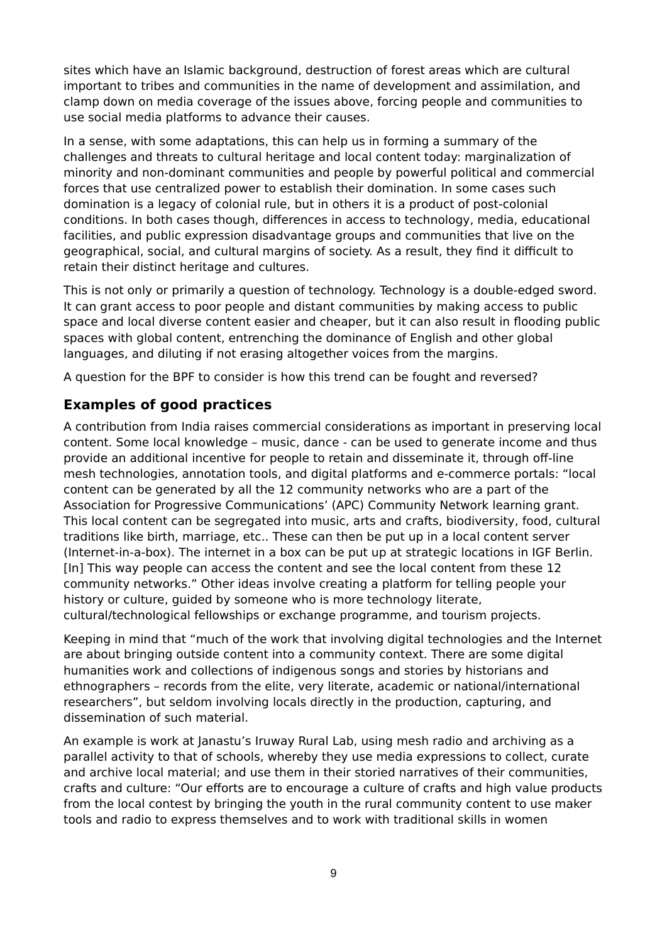sites which have an Islamic background, destruction of forest areas which are cultural important to tribes and communities in the name of development and assimilation, and clamp down on media coverage of the issues above, forcing people and communities to use social media platforms to advance their causes.

In a sense, with some adaptations, this can help us in forming a summary of the challenges and threats to cultural heritage and local content today: marginalization of minority and non-dominant communities and people by powerful political and commercial forces that use centralized power to establish their domination. In some cases such domination is a legacy of colonial rule, but in others it is a product of post-colonial conditions. In both cases though, differences in access to technology, media, educational facilities, and public expression disadvantage groups and communities that live on the geographical, social, and cultural margins of society. As a result, they find it difficult to retain their distinct heritage and cultures.

This is not only or primarily a question of technology. Technology is a double-edged sword. It can grant access to poor people and distant communities by making access to public space and local diverse content easier and cheaper, but it can also result in flooding public spaces with global content, entrenching the dominance of English and other global languages, and diluting if not erasing altogether voices from the margins.

A question for the BPF to consider is how this trend can be fought and reversed?

# <span id="page-8-0"></span>**Examples of good practices**

A contribution from India raises commercial considerations as important in preserving local content. Some local knowledge – music, dance - can be used to generate income and thus provide an additional incentive for people to retain and disseminate it, through off-line mesh technologies, annotation tools, and digital platforms and e-commerce portals: "local content can be generated by all the 12 community networks who are a part of the Association for Progressive Communications' (APC) Community Network learning grant. This local content can be segregated into music, arts and crafts, biodiversity, food, cultural traditions like birth, marriage, etc.. These can then be put up in a local content server (Internet-in-a-box). The internet in a box can be put up at strategic locations in IGF Berlin. [In] This way people can access the content and see the local content from these 12 community networks." Other ideas involve creating a platform for telling people your history or culture, guided by someone who is more technology literate, cultural/technological fellowships or exchange programme, and tourism projects.

Keeping in mind that "much of the work that involving digital technologies and the Internet are about bringing outside content into a community context. There are some digital humanities work and collections of indigenous songs and stories by historians and ethnographers – records from the elite, very literate, academic or national/international researchers", but seldom involving locals directly in the production, capturing, and dissemination of such material.

An example is work at Janastu's Iruway Rural Lab, using mesh radio and archiving as a parallel activity to that of schools, whereby they use media expressions to collect, curate and archive local material; and use them in their storied narratives of their communities, crafts and culture: "Our efforts are to encourage a culture of crafts and high value products from the local contest by bringing the youth in the rural community content to use maker tools and radio to express themselves and to work with traditional skills in women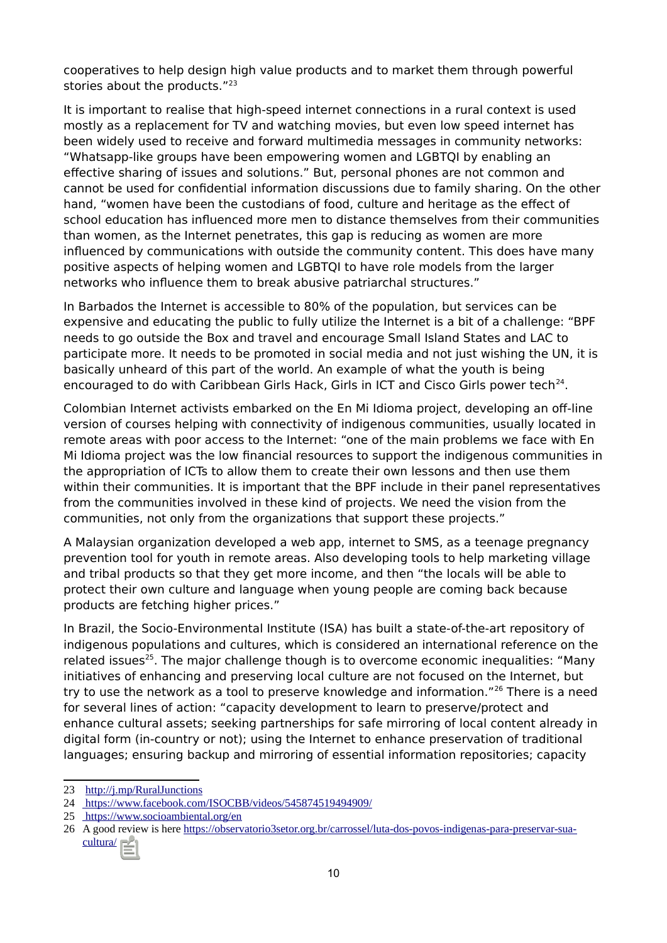cooperatives to help design high value products and to market them through powerful stories about the products."<sup>[23](#page-9-0)</sup>

It is important to realise that high-speed internet connections in a rural context is used mostly as a replacement for TV and watching movies, but even low speed internet has been widely used to receive and forward multimedia messages in community networks: "Whatsapp-like groups have been empowering women and LGBTQI by enabling an effective sharing of issues and solutions." But, personal phones are not common and cannot be used for confidential information discussions due to family sharing. On the other hand, "women have been the custodians of food, culture and heritage as the effect of school education has influenced more men to distance themselves from their communities than women, as the Internet penetrates, this gap is reducing as women are more influenced by communications with outside the community content. This does have many positive aspects of helping women and LGBTQI to have role models from the larger networks who influence them to break abusive patriarchal structures."

In Barbados the Internet is accessible to 80% of the population, but services can be expensive and educating the public to fully utilize the Internet is a bit of a challenge: "BPF needs to go outside the Box and travel and encourage Small Island States and LAC to participate more. It needs to be promoted in social media and not just wishing the UN, it is basically unheard of this part of the world. An example of what the youth is being encouraged to do with Caribbean Girls Hack, Girls in ICT and Cisco Girls power tech<sup>[24](#page-9-1)</sup>.

Colombian Internet activists embarked on the En Mi Idioma project, developing an off-line version of courses helping with connectivity of indigenous communities, usually located in remote areas with poor access to the Internet: "one of the main problems we face with En Mi Idioma project was the low financial resources to support the indigenous communities in the appropriation of ICTs to allow them to create their own lessons and then use them within their communities. It is important that the BPF include in their panel representatives from the communities involved in these kind of projects. We need the vision from the communities, not only from the organizations that support these projects."

A Malaysian organization developed a web app, internet to SMS, as a teenage pregnancy prevention tool for youth in remote areas. Also developing tools to help marketing village and tribal products so that they get more income, and then "the locals will be able to protect their own culture and language when young people are coming back because products are fetching higher prices."

In Brazil, the Socio-Environmental Institute (ISA) has built a state-of-the-art repository of indigenous populations and cultures, which is considered an international reference on the related issues<sup>[25](#page-9-2)</sup>. The major challenge though is to overcome economic inequalities: "Many initiatives of enhancing and preserving local culture are not focused on the Internet, but try to use the network as a tool to preserve knowledge and information."<sup>[26](#page-9-3)</sup> There is a need for several lines of action: "capacity development to learn to preserve/protect and enhance cultural assets; seeking partnerships for safe mirroring of local content already in digital form (in-country or not); using the Internet to enhance preservation of traditional languages; ensuring backup and mirroring of essential information repositories; capacity

<span id="page-9-0"></span><sup>23</sup> <http://j.mp/RuralJunctions>

<span id="page-9-1"></span><sup>24</sup><https://www.facebook.com/ISOCBB/videos/545874519494909/>

<span id="page-9-2"></span><sup>25</sup> <https://www.socioambiental.org/en>

<span id="page-9-3"></span><sup>26</sup> A good review is here [https://observatorio3setor.org.br/carrossel/luta-dos-povos-indigenas-para-preservar-sua](https://observatorio3setor.org.br/carrossel/luta-dos-povos-indigenas-para-preservar-sua-cultura/)[cultura/](https://observatorio3setor.org.br/carrossel/luta-dos-povos-indigenas-para-preservar-sua-cultura/)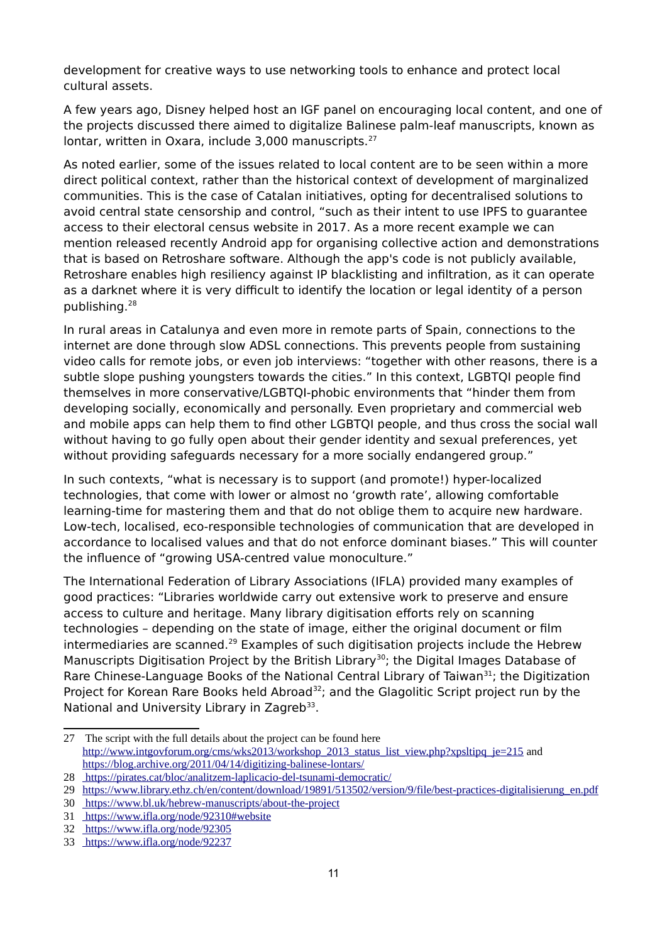development for creative ways to use networking tools to enhance and protect local cultural assets.

A few years ago, Disney helped host an IGF panel on encouraging local content, and one of the projects discussed there aimed to digitalize Balinese palm-leaf manuscripts, known as lontar, written in Oxara, include 3,000 manuscripts.<sup>[27](#page-10-0)</sup>

As noted earlier, some of the issues related to local content are to be seen within a more direct political context, rather than the historical context of development of marginalized communities. This is the case of Catalan initiatives, opting for decentralised solutions to avoid central state censorship and control, "such as their intent to use IPFS to guarantee access to their electoral census website in 2017. As a more recent example we can mention released recently Android app for organising collective action and demonstrations that is based on Retroshare software. Although the app's code is not publicly available, Retroshare enables high resiliency against IP blacklisting and infiltration, as it can operate as a darknet where it is very difficult to identify the location or legal identity of a person publishing.[28](#page-10-1)

In rural areas in Catalunya and even more in remote parts of Spain, connections to the internet are done through slow ADSL connections. This prevents people from sustaining video calls for remote jobs, or even job interviews: "together with other reasons, there is a subtle slope pushing youngsters towards the cities." In this context, LGBTQI people find themselves in more conservative/LGBTQI-phobic environments that "hinder them from developing socially, economically and personally. Even proprietary and commercial web and mobile apps can help them to find other LGBTQI people, and thus cross the social wall without having to go fully open about their gender identity and sexual preferences, yet without providing safeguards necessary for a more socially endangered group."

In such contexts, "what is necessary is to support (and promote!) hyper-localized technologies, that come with lower or almost no 'growth rate', allowing comfortable learning-time for mastering them and that do not oblige them to acquire new hardware. Low-tech, localised, eco-responsible technologies of communication that are developed in accordance to localised values and that do not enforce dominant biases." This will counter the influence of "growing USA-centred value monoculture."

The International Federation of Library Associations (IFLA) provided many examples of good practices: "Libraries worldwide carry out extensive work to preserve and ensure access to culture and heritage. Many library digitisation efforts rely on scanning technologies – depending on the state of image, either the original document or film intermediaries are scanned.<sup>[29](#page-10-2)</sup> Examples of such digitisation projects include the Hebrew Manuscripts Digitisation Project by the British Library<sup>[30](#page-10-3)</sup>; the Digital Images Database of Rare Chinese-Language Books of the National Central Library of Taiwan $^{31}$  $^{31}$  $^{31}$ ; the Digitization Project for Korean Rare Books held Abroad<sup>[32](#page-10-5)</sup>; and the Glagolitic Script project run by the National and University Library in Zagreb<sup>[33](#page-10-6)</sup>.

<span id="page-10-0"></span><sup>27</sup> The script with the full details about the project can be found here [http://www.intgovforum.org/cms/wks2013/workshop\\_2013\\_status\\_list\\_view.php?xpsltipq\\_je=215](http://www.intgovforum.org/cms/wks2013/workshop_2013_status_list_view.php?xpsltipq_je=215) and <https://blog.archive.org/2011/04/14/digitizing-balinese-lontars/>

<span id="page-10-1"></span><sup>28</sup><https://pirates.cat/bloc/analitzem-laplicacio-del-tsunami-democratic/>

<span id="page-10-2"></span><sup>29</sup> [https://www.library.ethz.ch/en/content/download/19891/513502/version/9/file/best-practices-digitalisierung\\_en.pdf](https://www.library.ethz.ch/en/content/download/19891/513502/version/9/file/best-practices-digitalisierung_en.pdf)

<span id="page-10-3"></span><sup>30</sup><https://www.bl.uk/hebrew-manuscripts/about-the-project>

<span id="page-10-4"></span><sup>31</sup> <https://www.ifla.org/node/92310#website>

<span id="page-10-5"></span><sup>32</sup> <https://www.ifla.org/node/92305>

<span id="page-10-6"></span><sup>33</sup> <https://www.ifla.org/node/92237>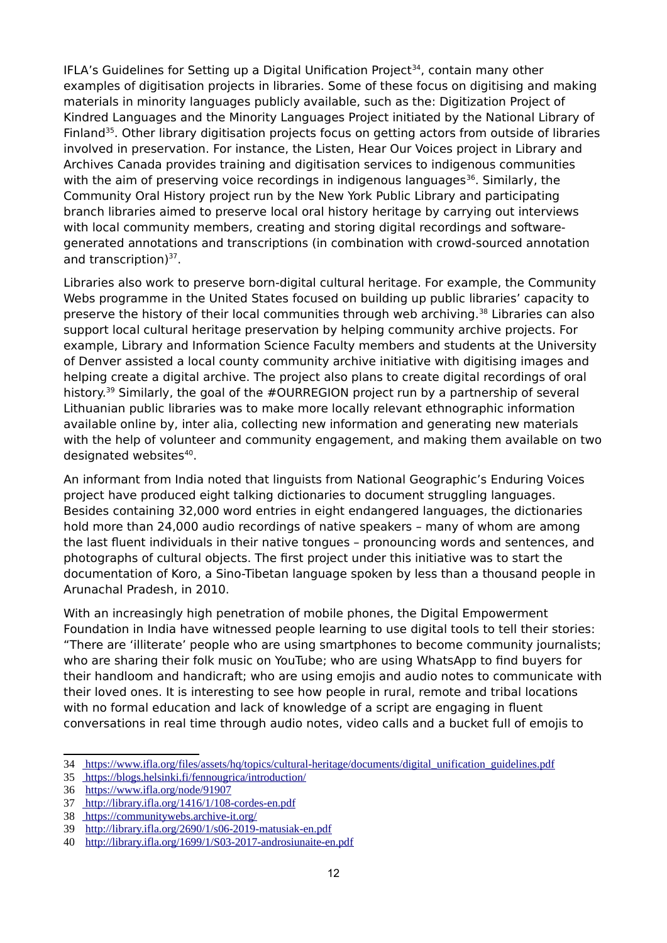IFLA's Guidelines for Setting up a Digital Unification Project<sup>[34](#page-11-0)</sup>, contain many other examples of digitisation projects in libraries. Some of these focus on digitising and making materials in minority languages publicly available, such as the: Digitization Project of Kindred Languages and the Minority Languages Project initiated by the National Library of Finland<sup>[35](#page-11-1)</sup>. Other library digitisation projects focus on getting actors from outside of libraries involved in preservation. For instance, the Listen, Hear Our Voices project in Library and Archives Canada provides training and digitisation services to indigenous communities with the aim of preserving voice recordings in indigenous languages<sup>[36](#page-11-2)</sup>. Similarly, the Community Oral History project run by the New York Public Library and participating branch libraries aimed to preserve local oral history heritage by carrying out interviews with local community members, creating and storing digital recordings and softwaregenerated annotations and transcriptions (in combination with crowd-sourced annotation and transcription)<sup>[37](#page-11-3)</sup>.

Libraries also work to preserve born-digital cultural heritage. For example, the Community Webs programme in the United States focused on building up public libraries' capacity to preserve the history of their local communities through web archiving.<sup>[38](#page-11-4)</sup> Libraries can also support local cultural heritage preservation by helping community archive projects. For example, Library and Information Science Faculty members and students at the University of Denver assisted a local county community archive initiative with digitising images and helping create a digital archive. The project also plans to create digital recordings of oral history.<sup>[39](#page-11-5)</sup> Similarly, the goal of the #OURREGION project run by a partnership of several Lithuanian public libraries was to make more locally relevant ethnographic information available online by, inter alia, collecting new information and generating new materials with the help of volunteer and community engagement, and making them available on two designated websites<sup>[40](#page-11-6)</sup>.

An informant from India noted that linguists from National Geographic's Enduring Voices project have produced eight talking dictionaries to document struggling languages. Besides containing 32,000 word entries in eight endangered languages, the dictionaries hold more than 24,000 audio recordings of native speakers – many of whom are among the last fluent individuals in their native tongues – pronouncing words and sentences, and photographs of cultural objects. The first project under this initiative was to start the documentation of Koro, a Sino-Tibetan language spoken by less than a thousand people in Arunachal Pradesh, in 2010.

With an increasingly high penetration of mobile phones, the Digital Empowerment Foundation in India have witnessed people learning to use digital tools to tell their stories: "There are 'illiterate' people who are using smartphones to become community journalists; who are sharing their folk music on YouTube; who are using WhatsApp to find buyers for their handloom and handicraft; who are using emojis and audio notes to communicate with their loved ones. It is interesting to see how people in rural, remote and tribal locations with no formal education and lack of knowledge of a script are engaging in fluent conversations in real time through audio notes, video calls and a bucket full of emojis to

<span id="page-11-0"></span><sup>34</sup> [https://www.ifla.org/files/assets/hq/topics/cultural-heritage/documents/digital\\_unification\\_guidelines.pdf](https://www.ifla.org/files/assets/hq/topics/cultural-heritage/documents/digital_unification_guidelines.pdf)

<span id="page-11-1"></span><sup>35</sup> <https://blogs.helsinki.fi/fennougrica/introduction/>

<span id="page-11-2"></span><sup>36</sup> <https://www.ifla.org/node/91907>

<span id="page-11-3"></span><sup>37</sup><http://library.ifla.org/1416/1/108-cordes-en.pdf>

<span id="page-11-4"></span><sup>38</sup> <https://communitywebs.archive-it.org/>

<span id="page-11-5"></span><sup>39</sup> <http://library.ifla.org/2690/1/s06-2019-matusiak-en.pdf>

<span id="page-11-6"></span><sup>40</sup> <http://library.ifla.org/1699/1/S03-2017-androsiunaite-en.pdf>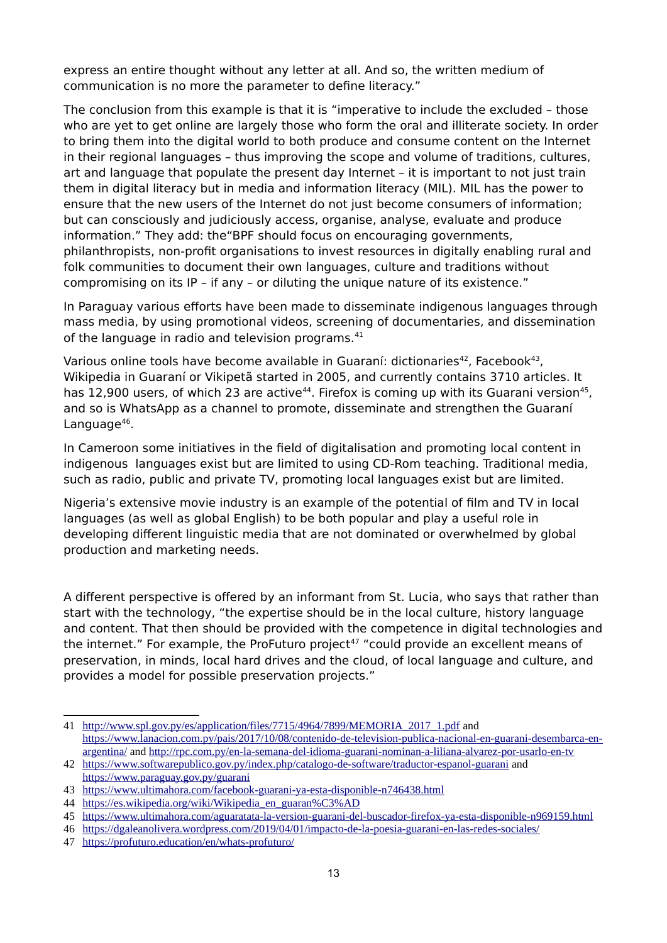express an entire thought without any letter at all. And so, the written medium of communication is no more the parameter to define literacy."

The conclusion from this example is that it is "imperative to include the excluded – those who are yet to get online are largely those who form the oral and illiterate society. In order to bring them into the digital world to both produce and consume content on the Internet in their regional languages – thus improving the scope and volume of traditions, cultures, art and language that populate the present day Internet – it is important to not just train them in digital literacy but in media and information literacy (MIL). MIL has the power to ensure that the new users of the Internet do not just become consumers of information; but can consciously and judiciously access, organise, analyse, evaluate and produce information." They add: the"BPF should focus on encouraging governments, philanthropists, non-profit organisations to invest resources in digitally enabling rural and folk communities to document their own languages, culture and traditions without compromising on its IP – if any – or diluting the unique nature of its existence."

In Paraguay various efforts have been made to disseminate indigenous languages through mass media, by using promotional videos, screening of documentaries, and dissemination of the language in radio and television programs.<sup>[41](#page-12-0)</sup>

Various online tools have become available in Guaraní: dictionaries<sup>[42](#page-12-1)</sup>, Facebook<sup>[43](#page-12-2)</sup>, Wikipedia in Guaraní or Vikipetã started in 2005, and currently contains 3710 articles. It has 12,900 users, of which 23 are active<sup>[44](#page-12-3)</sup>. Firefox is coming up with its Guarani version<sup>[45](#page-12-4)</sup>, and so is WhatsApp as a channel to promote, disseminate and strengthen the Guaraní Language<sup>[46](#page-12-5)</sup>.

In Cameroon some initiatives in the field of digitalisation and promoting local content in indigenous languages exist but are limited to using CD-Rom teaching. Traditional media, such as radio, public and private TV, promoting local languages exist but are limited.

Nigeria's extensive movie industry is an example of the potential of film and TV in local languages (as well as global English) to be both popular and play a useful role in developing different linguistic media that are not dominated or overwhelmed by global production and marketing needs.

A different perspective is offered by an informant from St. Lucia, who says that rather than start with the technology, "the expertise should be in the local culture, history language and content. That then should be provided with the competence in digital technologies and the internet." For example, the ProFuturo project<sup>[47](#page-12-6)</sup> "could provide an excellent means of preservation, in minds, local hard drives and the cloud, of local language and culture, and provides a model for possible preservation projects."

<span id="page-12-0"></span><sup>41</sup> [http://www.spl.gov.py/es/application/files/7715/4964/7899/MEMORIA\\_2017\\_1.pdf](http://www.spl.gov.py/es/application/files/7715/4964/7899/MEMORIA_2017_1.pdf) and [https://www.lanacion.com.py/pais/2017/10/08/contenido-de-television-publica-nacional-en-guarani-desembarca-en](https://www.lanacion.com.py/pais/2017/10/08/contenido-de-television-publica-nacional-en-guarani-desembarca-en-argentina/)[argentina/](https://www.lanacion.com.py/pais/2017/10/08/contenido-de-television-publica-nacional-en-guarani-desembarca-en-argentina/) and<http://rpc.com.py/en-la-semana-del-idioma-guarani-nominan-a-liliana-alvarez-por-usarlo-en-tv>

<span id="page-12-1"></span><sup>42</sup><https://www.softwarepublico.gov.py/index.php/catalogo-de-software/traductor-espanol-guarani>and <https://www.paraguay.gov.py/guarani>

<span id="page-12-2"></span><sup>43</sup> <https://www.ultimahora.com/facebook-guarani-ya-esta-disponible-n746438.html>

<span id="page-12-3"></span><sup>44</sup> [https://es.wikipedia.org/wiki/Wikipedia\\_en\\_guaran%C3%AD](https://es.wikipedia.org/wiki/Wikipedia_en_guaran%C3%AD)

<span id="page-12-4"></span><sup>45</sup> <https://www.ultimahora.com/aguaratata-la-version-guarani-del-buscador-firefox-ya-esta-disponible-n969159.html>

<span id="page-12-5"></span><sup>46</sup> <https://dgaleanolivera.wordpress.com/2019/04/01/impacto-de-la-poesia-guarani-en-las-redes-sociales/>

<span id="page-12-6"></span><sup>47</sup> <https://profuturo.education/en/whats-profuturo/>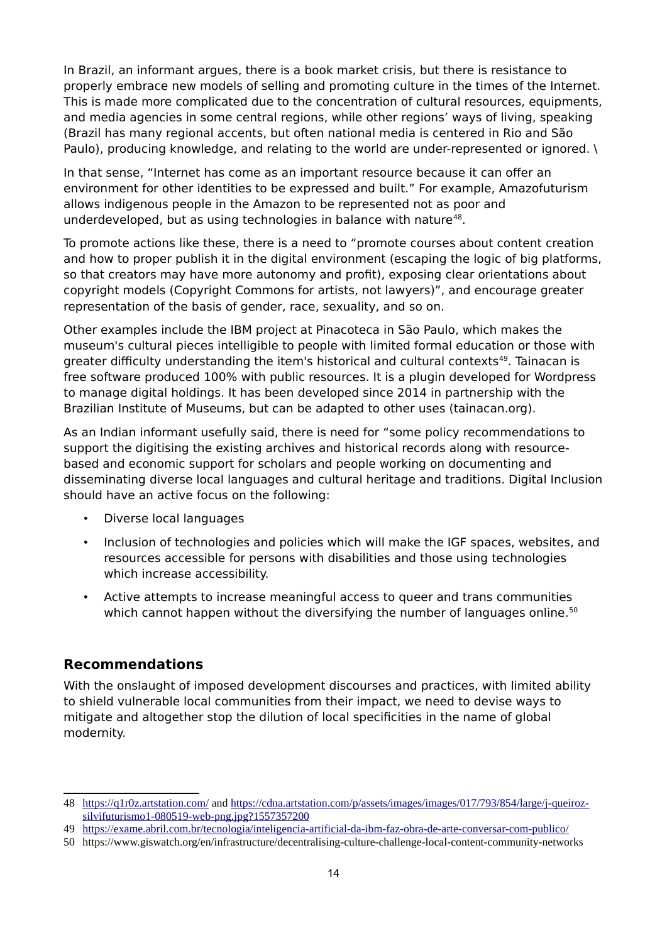In Brazil, an informant argues, there is a book market crisis, but there is resistance to properly embrace new models of selling and promoting culture in the times of the Internet. This is made more complicated due to the concentration of cultural resources, equipments, and media agencies in some central regions, while other regions' ways of living, speaking (Brazil has many regional accents, but often national media is centered in Rio and São Paulo), producing knowledge, and relating to the world are under-represented or ignored. \

In that sense, "Internet has come as an important resource because it can offer an environment for other identities to be expressed and built." For example, Amazofuturism allows indigenous people in the Amazon to be represented not as poor and underdeveloped, but as using technologies in balance with nature $48$ .

To promote actions like these, there is a need to "promote courses about content creation and how to proper publish it in the digital environment (escaping the logic of big platforms, so that creators may have more autonomy and profit), exposing clear orientations about copyright models (Copyright Commons for artists, not lawyers)", and encourage greater representation of the basis of gender, race, sexuality, and so on.

Other examples include the IBM project at Pinacoteca in São Paulo, which makes the museum's cultural pieces intelligible to people with limited formal education or those with greater difficulty understanding the item's historical and cultural contexts<sup>[49](#page-13-2)</sup>. Tainacan is free software produced 100% with public resources. It is a plugin developed for Wordpress to manage digital holdings. It has been developed since 2014 in partnership with the Brazilian Institute of Museums, but can be adapted to other uses (tainacan.org).

As an Indian informant usefully said, there is need for "some policy recommendations to support the digitising the existing archives and historical records along with resourcebased and economic support for scholars and people working on documenting and disseminating diverse local languages and cultural heritage and traditions. Digital Inclusion should have an active focus on the following:

- Diverse local languages
- Inclusion of technologies and policies which will make the IGF spaces, websites, and resources accessible for persons with disabilities and those using technologies which increase accessibility.
- Active attempts to increase meaningful access to queer and trans communities which cannot happen without the diversifying the number of languages online.<sup>[50](#page-13-3)</sup>

#### <span id="page-13-0"></span>**Recommendations**

With the onslaught of imposed development discourses and practices, with limited ability to shield vulnerable local communities from their impact, we need to devise ways to mitigate and altogether stop the dilution of local specificities in the name of global modernity.

<span id="page-13-1"></span><sup>48</sup><https://q1r0z.artstation.com/>and [https://cdna.artstation.com/p/assets/images/images/017/793/854/large/j-queiroz](https://cdna.artstation.com/p/assets/images/images/017/793/854/large/j-queiroz-silvifuturismo1-080519-web-png.jpg?1557357200)[silvifuturismo1-080519-web-png.jpg?1557357200](https://cdna.artstation.com/p/assets/images/images/017/793/854/large/j-queiroz-silvifuturismo1-080519-web-png.jpg?1557357200)

<span id="page-13-2"></span><sup>49</sup><https://exame.abril.com.br/tecnologia/inteligencia-artificial-da-ibm-faz-obra-de-arte-conversar-com-publico/>

<span id="page-13-3"></span><sup>50</sup> https://www.giswatch.org/en/infrastructure/decentralising-culture-challenge-local-content-community-networks